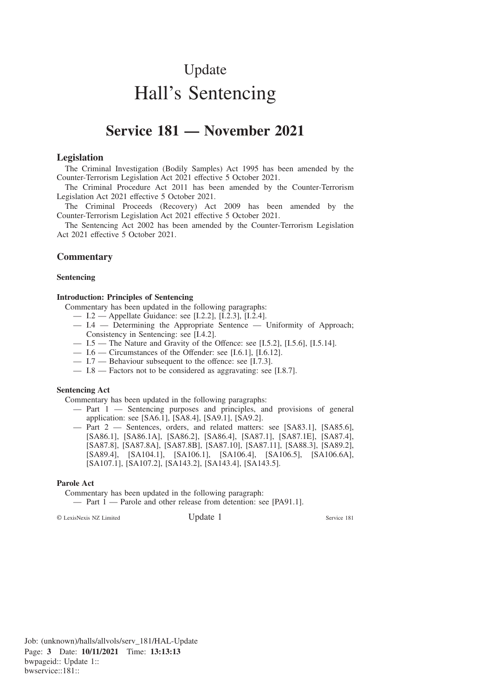# Update Hall's Sentencing

# **Service 181 — November 2021**

#### **Legislation**

The Criminal Investigation (Bodily Samples) Act 1995 has been amended by the Counter-Terrorism Legislation Act 2021 effective 5 October 2021.

The Criminal Procedure Act 2011 has been amended by the Counter-Terrorism Legislation Act 2021 effective 5 October 2021.

The Criminal Proceeds (Recovery) Act 2009 has been amended by the Counter-Terrorism Legislation Act 2021 effective 5 October 2021.

The Sentencing Act 2002 has been amended by the Counter-Terrorism Legislation Act 2021 effective 5 October 2021.

## **Commentary**

#### **Sentencing**

#### **Introduction: Principles of Sentencing**

Commentary has been updated in the following paragraphs:

- I.2 Appellate Guidance: see [I.2.2], [I.2.3], [I.2.4].
- I.4 Determining the Appropriate Sentence Uniformity of Approach; Consistency in Sentencing: see [I.4.2].
- $-$  I.5  $-$  The Nature and Gravity of the Offence: see [I.5.2], [I.5.6], [I.5.14].
- I.6 Circumstances of the Offender: see [I.6.1], [I.6.12].
- I.7 Behaviour subsequent to the offence: see [I.7.3].
- I.8 Factors not to be considered as aggravating: see [I.8.7].

#### **Sentencing Act**

Commentary has been updated in the following paragraphs:

- Part 1 Sentencing purposes and principles, and provisions of general application: see [SA6.1], [SA8.4], [SA9.1], [SA9.2].
- Part 2 Sentences, orders, and related matters: see [SA83.1], [SA85.6], [SA86.1], [SA86.1A], [SA86.2], [SA86.4], [SA87.1], [SA87.1E], [SA87.4], [SA87.8], [SA87.8A], [SA87.8B], [SA87.10], [SA87.11], [SA88.3], [SA89.2], [SA89.4], [SA104.1], [SA106.1], [SA106.4], [SA106.5], [SA106.6A], [SA107.1], [SA107.2], [SA143.2], [SA143.4], [SA143.5].

#### **Parole Act**

Commentary has been updated in the following paragraph:

— Part 1 — Parole and other release from detention: see [PA91.1].

© LexisNexis NZ Limited Update 1 Service 181